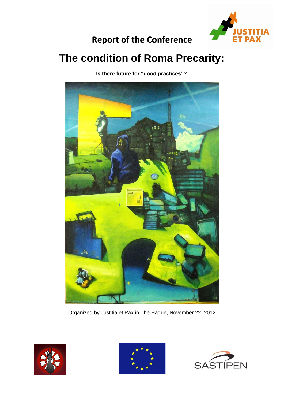

# **Report of the Conference**

# **The condition of Roma Precarity:**

 **Is there future for "good practices"?**



Organized by Justitia et Pax in The Hague, November 22, 2012





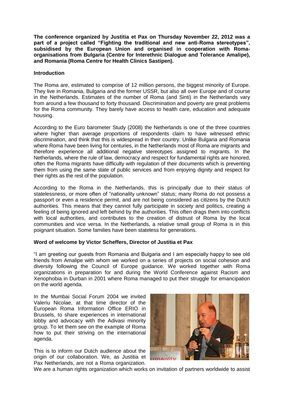**The conference organized by Justitia et Pax on Thursday November 22, 2012 was a part of a project called "Fighting the traditional and new anti-Roma stereotypes", subsidised by the European Union and organised in cooperation with Romaorganisations from Bulgaria (Centre for Interethnic Dialogue and Tolerance Amalipe), and Romania (Roma Centre for Health Clinics Sastipen).**

### **Introduction**

The Roma are, estimated to comprise of 12 million persons, the biggest minority of Europe. They live in Romania, Bulgaria and the former USSR, but also all over Europe and of course in the Netherlands. Estimates of the number of Roma (and Sinti) in the Netherlands vary from around a few thousand to forty thousand. Discrimination and poverty are great problems for the Roma community. They barely have access to health care, education and adequate housing.

According to the Euro barometer Study (2008) the Netherlands is one of the three countries where higher than average proportions of respondents claim to have witnessed ethnic discrimination, and think that this is widespread in their country. Unlike Bulgaria and Romania where Roma have been living for centuries, in the Netherlands most of Roma are migrants and therefore experience all additional negative stereotypes assigned to migrants. In the Netherlands, where the rule of law, democracy and respect for fundamental rights are honored, often the Roma migrants have difficulty with regulation of their documents which is preventing them from using the same state of public services and from enjoying dignity and respect for their rights as the rest of the population.

According to the Roma in the Netherlands, this is principally due to their status of statelessness, or more often of "nationality unknown" status; many Roma do not possess a passport or even a residence permit, and are not being considered as citizens by the Dutch authorities. This means that they cannot fully participate in society and politics, creating a feeling of being ignored and left behind by the authorities. This often drags them into conflicts with local authorities, and contributes to the creation of distrust of Roma by the local communities and vice versa. In the Netherlands, a relative small group of Roma is in this poignant situation. Some families have been stateless for generations.

# **Word of welcome by Victor Scheffers, Director of Justitia et Pax**

"I am greeting our guests from Romania and Bulgaria and I am especially happy to see old friends from Amalipe with whom we worked on a series of projects on social cohesion and diversity following the Council of Europe guidance. We worked together with Roma organizations in preparation for and during the World Conference against Racism and Xenophobia in Durban in 2001 where Roma managed to put their struggle for emancipation on the world agenda.

In the Mumbai Social Forum 2004 we invited Valeriu Nicolae, at that time director of the European Roma Information Office ERIO in Brussels, to share experiences in international lobby and advocacy with the Adivasi minority group. To let them see on the example of Roma how to put their striving on the international agenda.

This is to inform our Dutch audience about the origin of our collaboration. We, as Justitia et Pax Netherlands, are not a Roma organization.



We are a human rights organization which works on invitation of partners worldwide to assist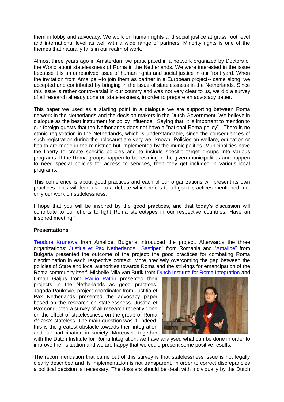them in lobby and advocacy. We work on human rights and social justice at grass root level and international level as well with a wide range of partners. Minority rights is one of the themes that naturally falls in our realm of work.

Almost three years ago in Amsterdam we participated in a network organized by Doctors of the World about statelessness of Roma in the Netherlands. We were interested in the issue because it is an unresolved issue of human rights and social justice in our front yard. When the invitation from Amalipe --to join them as partner in a European project-- came along, we accepted and contributed by bringing in the issue of statelessness in the Netherlands. Since this issue is rather controversial in our country and was not very clear to us, we did a survey of all research already done on statelessness, in order to prepare an advocacy paper.

This paper we used as a starting point in a dialogue we are supporting between Roma network in the Netherlands and the decision makers in the Dutch Government. We believe in dialogue as the best instrument for policy influence. Saying that, it is important to mention to our foreign guests that the Netherlands does not have a "national Roma policy". There is no ethnic registration in the Netherlands, which is understandable, since the consequences of such registration during the holocaust are very well known. Policies on welfare, education or health are made in the ministries but implemented by the municipalities. Municipalities have the liberty to create specific policies and to include specific target groups into various programs. If the Roma groups happen to be residing in the given municipalities and happen to need special policies for access to services, then they get included in various local programs.

This conference is about good practices and each of our organizations will present its own practices. This will lead us into a debate which refers to all good practices mentioned, not only our work on statelessness.

I hope that you will be inspired by the good practices, and that today's discussion will contribute to our efforts to fight Roma stereotypes in our respective countries. Have an inspired meeting!"

# **Presentations**

[Teodora Krumova](http://en.justitiaetpax.nl/userfiles/file/Introduction%20to%20the%20EU%20project%20(Amalipe).ppt) from Amalipe, Bulgaria introduced the project. Afterwards the three organizations: *Justitia et Pax Netherlands*, ["Sastipen"](http://en.justitiaetpax.nl/userfiles/file/Sastipen%20presentation%20best%20practices.ppt) from Romania and ["Amalipe"](http://en.justitiaetpax.nl/userfiles/file/Amalipe%20presentation%20best%20practices.ppt) from Bulgaria presented the outcome of the project: the good practices for combating Roma discrimination in each respective context. More precisely overcoming the gap between the policies of State and local authorities towards Roma and the strivings for emancipation of the Roma community itself. Michelle Mila van Burik from [Dutch Institute for Roma Integration](http://en.justitiaetpax.nl/userfiles/file/Presentation%20Dutch%20Institute%20Roma%20Integration.ppt) and

Orhan Galjus from Radio [Patrin](http://en.justitiaetpax.nl/userfiles/file/The%20Radio%20Patrin.ppt) presented their projects in the Netherlands as good practices. Jagoda Paukovic, project coordinator from Justitia et Pax Netherlands presented the advocacy paper based on the research on statelessness. Justitia et Pax conducted a survey of all research recently done on the effect of statelessness on the group of Roma *de facto* stateless. The main question was if, indeed, this is the greatest obstacle towards their integration and full participation in society. Moreover, together



with the Dutch Institute for Roma Integration, we have analysed what can be done in order to improve their situation and we are happy that we could present some positive results.

The recommendation that came out of this survey is that statelessness issue is not legally clearly described and its implementation is not transparent. In order to correct discrepancies a political decision is necessary. The dossiers should be dealt with individually by the Dutch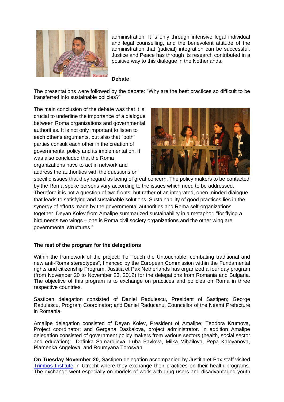

administration. It is only through intensive legal individual and legal counselling, and the benevolent attitude of the administration that (judicial) integration can be successful. Justice and Peace has through its research contributed in a positive way to this dialogue in the Netherlands.

#### **Debate**

The presentations were followed by the debate: "Why are the best practices so difficult to be transferred into sustainable policies?"

The main conclusion of the debate was that it is crucial to underline the importance of a dialogue between Roma organizations and governmental authorities. It is not only important to listen to each other's arguments, but also that "both" parties consult each other in the creation of governmental policy and its implementation. It was also concluded that the Roma organizations have to act in network and address the authorities with the questions on



specific issues that they regard as being of great concern. The policy makers to be contacted by the Roma spoke persons vary according to the issues which need to be addressed. Therefore it is not a question of two fronts, but rather of an integrated, open minded dialogue that leads to satisfying and sustainable solutions. Sustainability of good practices lies in the synergy of efforts made by the governmental authorities and Roma self-organizations together. Deyan Kolev from Amalipe summarized sustainability in a metaphor: "for flying a bird needs two wings – one is Roma civil society organizations and the other wing are governmental structures."

#### **The rest of the program for the delegations**

Within the framework of the project: To Touch the Untouchable: combating traditional and new anti-Roma stereotypes", financed by the European Commission within the Fundamental rights and citizenship Program, Justitia et Pax Netherlands has organized a four day program (from November 20 to November 23, 2012) for the delegations from Romania and Bulgaria. The objective of this program is to exchange on practices and policies on Roma in three respective countries.

Sastipen delegation consisted of Daniel Radulescu, President of Sastipen; George Radulescu, Program Coordinator; and Daniel Raducanu, Councellor of the Neamt Prefecture in Romania.

Amalipe delegation consisted of Deyan Kolev, President of Amalipe; Teodora Krumova, Project coordinator; and Gergana Daskalova, project administrator. In addition Amalipe delegation consisted of government policy makers from various sectors (health, social sector and education): Dafinka Samardjieva, Luba Pavlova, Milka Mihailova, Pepa Kaloyanova, Plamenka Angelova, and Roumyana Torosyan.

**On Tuesday November 20**, Sastipen delegation accompanied by Justitia et Pax staff visited [Trimbos Institute](http://www.trimbos.nl/) in Utrecht where they exchange their practices on their health programs. The exchange went especially on models of work with drug users and disadvantaged youth